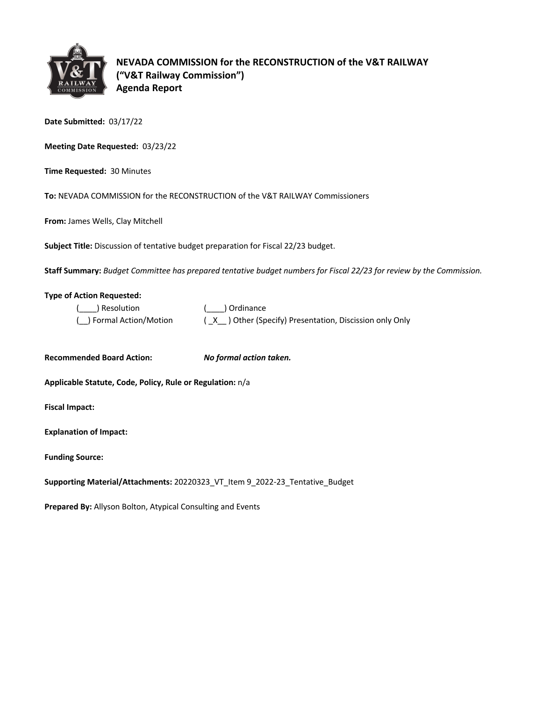

**NEVADA COMMISSION for the RECONSTRUCTION of the V&T RAILWAY ("V&T Railway Commission") Agenda Report**

**Date Submitted:** 03/17/22

**Meeting Date Requested:** 03/23/22

**Time Requested:** 30 Minutes

**To:** NEVADA COMMISSION for the RECONSTRUCTION of the V&T RAILWAY Commissioners

**From:** James Wells, Clay Mitchell

**Subject Title:** Discussion of tentative budget preparation for Fiscal 22/23 budget.

**Staff Summary:** *Budget Committee has prepared tentative budget numbers for Fiscal 22/23 for review by the Commission.*

## **Type of Action Requested:**

| ( ) Resolution           | ( ) Ordinance                                          |
|--------------------------|--------------------------------------------------------|
| ( ) Formal Action/Motion | (X) Other (Specify) Presentation, Discission only Only |

**Recommended Board Action:** *No formal action taken.* 

**Applicable Statute, Code, Policy, Rule or Regulation:** n/a

**Fiscal Impact:**

**Explanation of Impact:**

**Funding Source:**

**Supporting Material/Attachments:** 20220323\_VT\_Item 9\_2022-23\_Tentative\_Budget

**Prepared By:** Allyson Bolton, Atypical Consulting and Events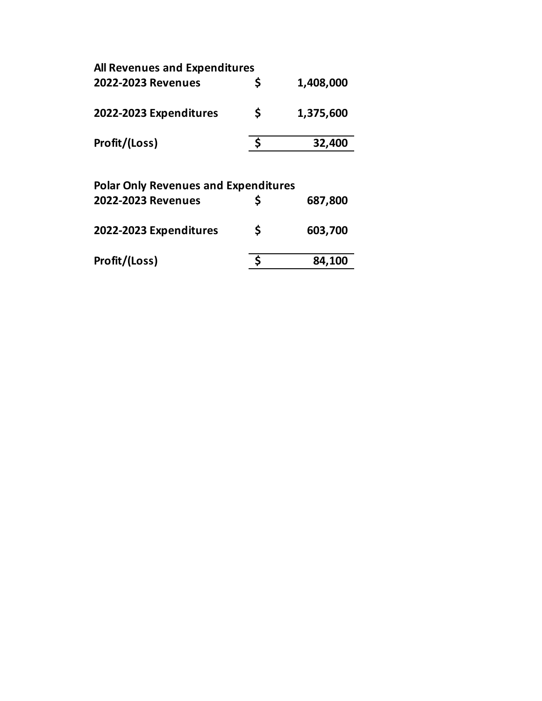| <b>All Revenues and Expenditures</b> |   |           |  |  |  |
|--------------------------------------|---|-----------|--|--|--|
| 2022-2023 Revenues                   |   | 1,408,000 |  |  |  |
| 2022-2023 Expenditures               | Ś | 1,375,600 |  |  |  |
| Profit/(Loss)                        |   | 32,400    |  |  |  |
|                                      |   |           |  |  |  |

| <b>Polar Only Revenues and Expenditures</b> |    |         |  |  |  |
|---------------------------------------------|----|---------|--|--|--|
| 2022-2023 Revenues                          |    | 687,800 |  |  |  |
| 2022-2023 Expenditures                      | \$ | 603,700 |  |  |  |
| Profit/(Loss)                               |    | 84,100  |  |  |  |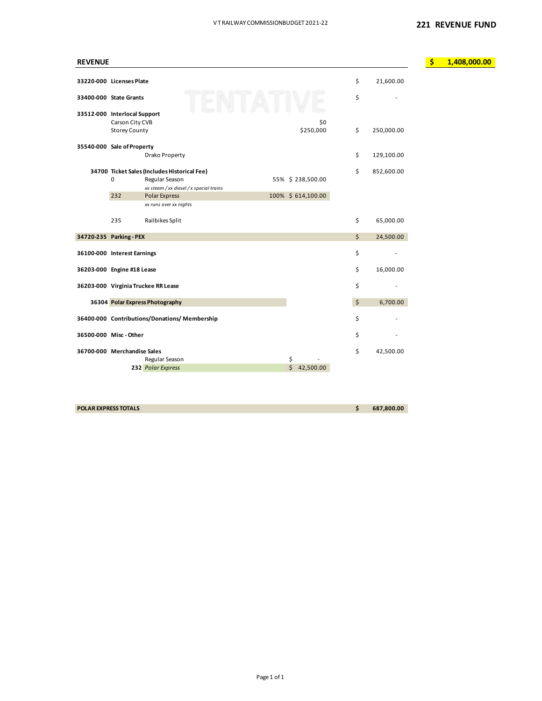| <b>REVENUE</b>               |                      |                                              |                    |                  | $\boldsymbol{\zeta}$ | 1,408,000.00 |
|------------------------------|----------------------|----------------------------------------------|--------------------|------------------|----------------------|--------------|
|                              |                      |                                              |                    |                  |                      |              |
| 33220-000 Licenses Plate     |                      |                                              |                    | \$<br>21,600.00  |                      |              |
| 33400-000 State Grants       |                      |                                              |                    | \$               |                      |              |
| 33512-000 Interlocal Support |                      |                                              |                    |                  |                      |              |
|                              | Carson City CVB      |                                              | \$0                |                  |                      |              |
|                              | <b>Storey County</b> |                                              | \$250,000          | \$<br>250,000.00 |                      |              |
| 35540-000 Sale of Property   |                      |                                              |                    |                  |                      |              |
|                              |                      | Drako Property                               |                    | \$<br>129,100.00 |                      |              |
|                              |                      | 34700 Ticket Sales (Includes Historical Fee) |                    | \$<br>852,600.00 |                      |              |
|                              | $\mathbf 0$          | Regular Season                               | 55% \$238,500.00   |                  |                      |              |
|                              |                      | xx steam / xx diesel / x special trains      |                    |                  |                      |              |
|                              | 232                  | Polar Express                                | 100% \$ 614,100.00 |                  |                      |              |
|                              |                      | xx runs over xx nights                       |                    |                  |                      |              |
|                              | 235                  | Railbikes Split                              |                    | \$<br>65,000.00  |                      |              |
| 34720-235 Parking - PEX      |                      |                                              |                    | \$<br>24,500.00  |                      |              |
| 36100-000 Interest Earnings  |                      |                                              |                    | \$               |                      |              |
| 36203-000 Engine #18 Lease   |                      |                                              |                    | \$<br>16,000.00  |                      |              |
|                              |                      | 36203-000 Virginia Truckee RR Lease          |                    | \$               |                      |              |
|                              |                      |                                              |                    |                  |                      |              |
|                              |                      | 36304 Polar Express Photography              |                    | \$<br>6,700.00   |                      |              |
|                              |                      | 36400-000 Contributions/Donations/Membership |                    | \$               |                      |              |
| 36500-000 Misc-Other         |                      |                                              |                    | \$               |                      |              |
| 36700-000 Merchandise Sales  |                      |                                              |                    | \$<br>42,500.00  |                      |              |
|                              |                      | Regular Season                               | \$                 |                  |                      |              |
|                              |                      | 232 Polar Express                            | \$<br>42,500.00    |                  |                      |              |

**POLAR EXPRESS TOTALS \$ 687,800.00**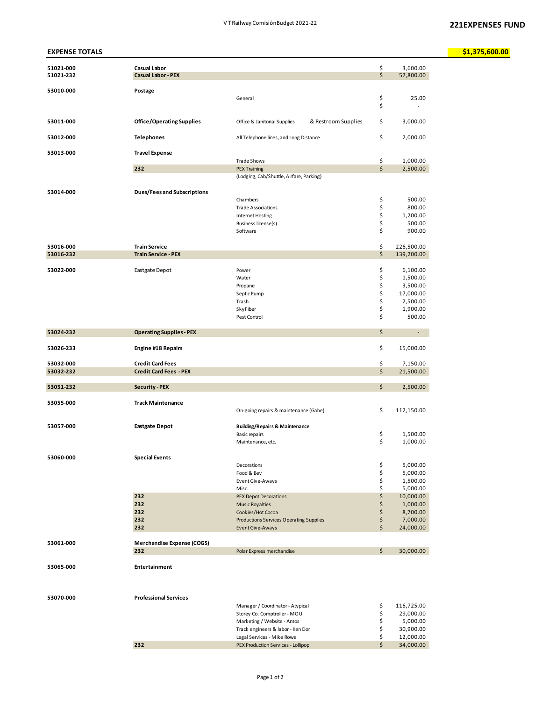| <b>EXPENSE TOTALS</b>  |                                                  |                                                                 |          |                          | \$1,375,600.00 |
|------------------------|--------------------------------------------------|-----------------------------------------------------------------|----------|--------------------------|----------------|
| 51021-000<br>51021-232 | <b>Casual Labor</b><br><b>Casual Labor - PEX</b> |                                                                 | \$<br>\$ | 3,600.00<br>57,800.00    |                |
| 53010-000              | Postage                                          |                                                                 |          |                          |                |
|                        |                                                  | General                                                         | \$<br>\$ | 25.00                    |                |
| 53011-000              | <b>Office/Operating Supplies</b>                 | Office & Janitorial Supplies<br>& Restroom Supplies             | \$       | 3,000.00                 |                |
| 53012-000              | <b>Telephones</b>                                | All Telephone lines, and Long Distance                          | \$       | 2,000.00                 |                |
| 53013-000              | <b>Travel Expense</b>                            |                                                                 |          |                          |                |
|                        | 232                                              | <b>Trade Shows</b><br><b>PEX Training</b>                       | \$<br>\$ | 1,000.00<br>2,500.00     |                |
|                        |                                                  | (Lodging, Cab/Shuttle, Airfare, Parking)                        |          |                          |                |
|                        |                                                  |                                                                 |          |                          |                |
| 53014-000              | Dues/Fees and Subscriptions                      | Chambers                                                        | \$       | 500.00                   |                |
|                        |                                                  | <b>Trade Associations</b>                                       | \$       | 800.00                   |                |
|                        |                                                  | <b>Internet Hosting</b>                                         | \$       | 1,200.00                 |                |
|                        |                                                  | <b>Business license(s)</b>                                      | \$       | 500.00                   |                |
|                        |                                                  | Software                                                        | \$       | 900.00                   |                |
| 53016-000              | <b>Train Service</b>                             |                                                                 | \$       | 226,500.00               |                |
| 53016-232              | <b>Train Service - PEX</b>                       |                                                                 | \$       | 139,200.00               |                |
|                        |                                                  |                                                                 |          |                          |                |
| 53022-000              | Eastgate Depot                                   | Power                                                           | \$       | 6,100.00                 |                |
|                        |                                                  | Water                                                           | \$<br>\$ | 1,500.00<br>3,500.00     |                |
|                        |                                                  | Propane<br>Septic Pump                                          | \$       | 17,000.00                |                |
|                        |                                                  | Trash                                                           | \$       | 2,500.00                 |                |
|                        |                                                  | SkyFiber                                                        | \$       | 1,900.00                 |                |
|                        |                                                  | Pest Control                                                    | \$       | 500.00                   |                |
| 53024-232              | <b>Operating Supplies - PEX</b>                  |                                                                 | \$       | $\overline{\phantom{a}}$ |                |
| 53026-233              | <b>Engine #18 Repairs</b>                        |                                                                 | \$       | 15,000.00                |                |
| 53032-000              | <b>Credit Card Fees</b>                          |                                                                 | \$       | 7,150.00                 |                |
| 53032-232              | <b>Credit Card Fees - PEX</b>                    |                                                                 | \$       | 21,500.00                |                |
|                        |                                                  |                                                                 |          |                          |                |
| 53051-232              | <b>Security - PEX</b>                            |                                                                 | \$       | 2,500.00                 |                |
| 53055-000              | <b>Track Maintenance</b>                         | On-going repairs & maintenance (Gabe)                           | \$       | 112,150.00               |                |
| 53057-000              | <b>Eastgate Depot</b>                            | <b>Building/Repairs &amp; Maintenance</b>                       |          |                          |                |
|                        |                                                  | Basic repairs                                                   | \$       | 1,500.00                 |                |
|                        |                                                  | Maintenance, etc.                                               | \$       | 1,000.00                 |                |
| 53060-000              | <b>Special Events</b>                            |                                                                 |          |                          |                |
|                        |                                                  | Decorations                                                     | \$       | 5,000.00                 |                |
|                        |                                                  | Food & Bev                                                      | \$       | 5,000.00                 |                |
|                        |                                                  | Event Give-Aways                                                | \$       | 1,500.00                 |                |
|                        | 232                                              | Misc.<br><b>PEX Depot Decorations</b>                           | \$<br>\$ | 5,000.00<br>10,000.00    |                |
|                        | 232                                              | <b>Music Royalties</b>                                          | \$       | 1,000.00                 |                |
|                        | 232                                              | Cookies/Hot Cocoa                                               | \$       | 8,700.00                 |                |
|                        | 232                                              | Productions Services Operating Supplies                         | \$       | 7,000.00                 |                |
|                        | 232                                              | <b>Event Give-Aways</b>                                         | \$       | 24,000.00                |                |
| 53061-000              | <b>Merchandise Expense (COGS)</b>                |                                                                 |          |                          |                |
|                        | 232                                              | Polar Express merchandise                                       | \$       | 30,000.00                |                |
|                        |                                                  |                                                                 |          |                          |                |
| 53065-000              | Entertainment                                    |                                                                 |          |                          |                |
| 53070-000              | <b>Professional Services</b>                     |                                                                 |          |                          |                |
|                        |                                                  | Manager / Coordinator - Atypical                                | \$       | 116,725.00               |                |
|                        |                                                  | Storey Co. Comptroller - MOU                                    | \$       | 29,000.00                |                |
|                        |                                                  | Marketing / Website - Antos                                     | \$       | 5,000.00                 |                |
|                        |                                                  | Track engineers & labor - Ken Dor<br>Legal Services - Mike Rowe | \$<br>\$ | 30,900.00<br>12,000.00   |                |
|                        | 232                                              | PEX Production Services - Lollipop                              | \$       | 34,000.00                |                |
|                        |                                                  |                                                                 |          |                          |                |